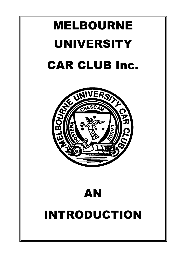# MELBOURNE UNIVERSITY CAR CLUB Inc.



## AN INTRODUCTION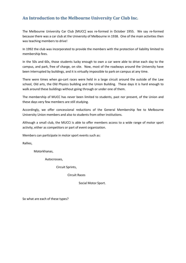#### **An Introduction to the Melbourne University Car Club Inc.**

The Melbourne University Car Club [MUCC] was re-formed in October 1955. We say re-formed because there was a car club at the University of Melbourne in 1938. One of the main activities then was teaching members to drive!

In 1992 the club was incorporated to provide the members with the protection of liability limited to membership fees.

In the 50s and 60s, those students lucky enough to own a car were able to drive each day to the campus, and park, free of charge, on site. Now, most of the roadways around the University have been interrupted by buildings, and it is virtually impossible to park on campus at any time.

There were times when go-cart races were held in a large circuit around the outside of the Law school, Old arts, the Old Physics building and the Union Building. These days it is hard enough to walk around these buildings without going through or under one of them.

The membership of MUCC has never been limited to students, past nor present, of the Union and these days very few members are still studying.

Accordingly, we offer concessional reductions of the General Membership fee to Melbourne University Union members and also to students from other institutions.

Although a small club, the MUCCi is able to offer members access to a wide range of motor sport activity, either as competitors or part of event organization.

Members can participate in motor sport events such as:

Rallies,

Motorkhanas,

Autocrosses,

Circuit Sprints,

Circuit Races

Social Motor Sport.

So what are each of these types?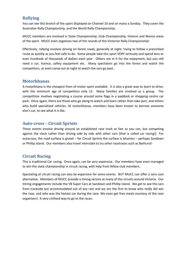#### **Rallying**

You can see this branch of the sport displayed on Channel 10 and on many a Sunday. They cover the Australian Rally Championship, and the World Rally Championship.

MUCC members are involved in State Championship, Club Championship, Historic and Novice areas of the sport. MUCC even organises two of the rounds of the Victorian Rally Championship!

Effectively, rallying involves driving on forest roads, generally at night, trying to follow a prescribed route as quickly as you feel safe to do. Some people take this sport VERY seriously and spend tens or even hundreds of thousands of dollars each year. Others are in it for the enjoyment, but you still need a car, licence, safety equipment etc. Many spectators go into the forest and watch the competitors, or even camp out at night to watch the cars go past..

#### **Motorkhanas**

A motorkhana is the cheapest from of motor sport available. It is also a great way to learn to drive, with the minimum age of competitors only 12. Many families are involved as a group. The competition involves negotiating a course around some flags in a paddock or shopping centre car park. Once again, there are those who go along to watch and learn rather than take part, and others who build specialised vehicles. At motorkhanas, members have been known to borrow someone else's car, to see what it is like.

#### **Auto-cross – Circuit Sprints**

These events involve driving around an established race track as fast as you can, but competing against the clock rather than driving side by side with other cars [that is called car racing!] For autocross, the road surface is gravel – for Circuit Sprints the surface is bitumen – perhaps Sandown or Phillip Island. Our members also travel interstate to try other racetracks such as Bathurst!

#### **Circuit Racing**

This is traditional Car racing. Once again, can be very expensive. Our members have even managed to win the state championship in circuit racing, with help from fellow club members.

Spectating at circuit racing can also be expensive for some events. BUT MUCC can offer a zero cost alternative. Members of MUCC provide a timing service at many of the circuits around Victoria. Our timing engagements include the V8 Super Cars at Sandown and Phillip Island. We get to see the cars from trackside but accommodated out of any rain and we are the first to know who really did win the race, and who was the fastest car during the race. We even get free meals courtesy of the race organisers! A very civilised way to go to the races.